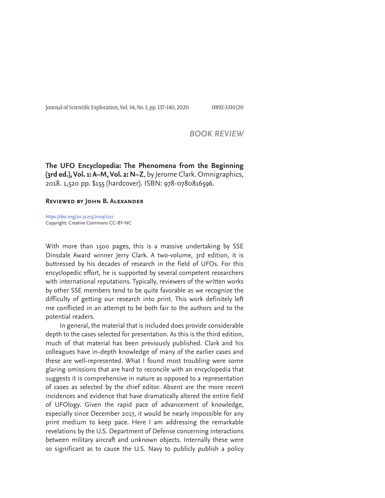Journal of Scientific Exploration, Vol. 34, No. 1, pp. 137-140, 2020 0892-3310/20

## *BOOK REVIEW*

**The UFO Encyclopedia: The Phenomena from the Beginning (3rd ed.), Vol. 1: A–M, Vol. 2: N–Z**, by Jerome Clark. Omnigraphics, 2018. 1,520 pp. \$155 (hardcover). ISBN: 978-0780816596.

## **Reviewed by John B. Alexander**

https://doi.org/10.31275/2019/1717 Copyright: Creative Commons CC-BY-NC

With more than 1500 pages, this is a massive undertaking by SSE Dinsdale Award winner Jerry Clark. A two-volume, 3rd edition, it is buttressed by his decades of research in the field of UFOs. For this encyclopedic effort, he is supported by several competent researchers with international reputations. Typically, reviewers of the written works by other SSE members tend to be quite favorable as we recognize the difficulty of getting our research into print. This work definitely left me conflicted in an attempt to be both fair to the authors and to the potential readers.

In general, the material that is included does provide considerable depth to the cases selected for presentation. As this is the third edition, much of that material has been previously published. Clark and his colleagues have in-depth knowledge of many of the earlier cases and these are well-represented. What I found most troubling were some glaring omissions that are hard to reconcile with an encyclopedia that suggests it is comprehensive in nature as opposed to a representation of cases as selected by the chief editor. Absent are the more recent incidences and evidence that have dramatically altered the entire field of UFOlogy. Given the rapid pace of advancement of knowledge, especially since December 2017, it would be nearly impossible for any print medium to keep pace. Here I am addressing the remarkable revelations by the U.S. Department of Defense concerning interactions between military aircraft and unknown objects. Internally these were so significant as to cause the U.S. Navy to publicly publish a policy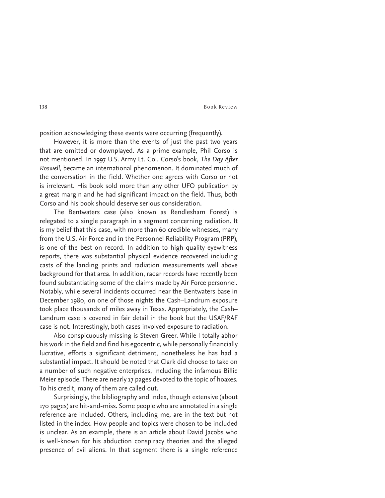138 Book Review

position acknowledging these events were occurring (frequently).

However, it is more than the events of just the past two years that are omitted or downplayed. As a prime example, Phil Corso is not mentioned. In 1997 U.S. Army Lt. Col. Corso's book, *The Day After Roswell,* became an international phenomenon. It dominated much of the conversation in the field. Whether one agrees with Corso or not is irrelevant. His book sold more than any other UFO publication by a great margin and he had significant impact on the field. Thus, both Corso and his book should deserve serious consideration.

The Bentwaters case (also known as Rendlesham Forest) is relegated to a single paragraph in a segment concerning radiation. It is my belief that this case, with more than 60 credible witnesses, many from the U.S. Air Force and in the Personnel Reliability Program (PRP), is one of the best on record. In addition to high-quality eyewitness reports, there was substantial physical evidence recovered including casts of the landing prints and radiation measurements well above background for that area. In addition, radar records have recently been found substantiating some of the claims made by Air Force personnel. Notably, while several incidents occurred near the Bentwaters base in December 1980, on one of those nights the Cash–Landrum exposure took place thousands of miles away in Texas. Appropriately, the Cash– Landrum case is covered in fair detail in the book but the USAF/RAF case is not. Interestingly, both cases involved exposure to radiation.

Also conspicuously missing is Steven Greer. While I totally abhor his work in the field and find his egocentric, while personally financially lucrative, efforts a significant detriment, nonetheless he has had a substantial impact. It should be noted that Clark did choose to take on a number of such negative enterprises, including the infamous Billie Meier episode. There are nearly 17 pages devoted to the topic of hoaxes. To his credit, many of them are called out.

Surprisingly, the bibliography and index, though extensive (about 170 pages) are hit-and-miss. Some people who are annotated in a single reference are included. Others, including me, are in the text but not listed in the index. How people and topics were chosen to be included is unclear. As an example, there is an article about David Jacobs who is well-known for his abduction conspiracy theories and the alleged presence of evil aliens. In that segment there is a single reference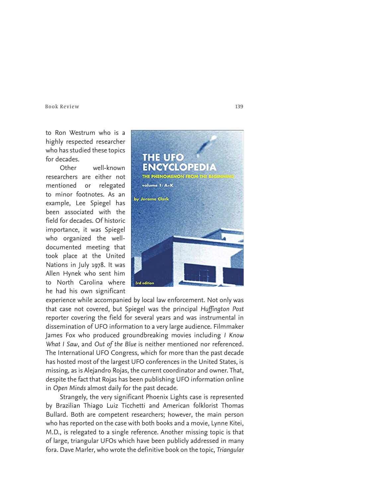Book Review 139

to Ron Westrum who is a highly respected researcher who has studied these topics for decades.

Other well-known researchers are either not mentioned or relegated to minor footnotes. As an example, Lee Spiegel has been associated with the field for decades. Of historic importance, it was Spiegel who organized the welldocumented meeting that took place at the United Nations in July 1978. It was Allen Hynek who sent him to North Carolina where he had his own significant



experience while accompanied by local law enforcement. Not only was that case not covered, but Spiegel was the principal *Huffington Post* reporter covering the field for several years and was instrumental in dissemination of UFO information to a very large audience. Filmmaker James Fox who produced groundbreaking movies including *I Know What I Saw*, and *Out of the Blue* is neither mentioned nor referenced. The International UFO Congress, which for more than the past decade has hosted most of the largest UFO conferences in the United States, is missing, as is Alejandro Rojas, the current coordinator and owner. That, despite the fact that Rojas has been publishing UFO information online in *Open Minds* almost daily for the past decade.

Strangely, the very significant Phoenix Lights case is represented by Brazilian Thiago Luiz Ticchetti and American folklorist Thomas Bullard. Both are competent researchers; however, the main person who has reported on the case with both books and a movie, Lynne Kitei, M.D., is relegated to a single reference. Another missing topic is that of large, triangular UFOs which have been publicly addressed in many fora. Dave Marler, who wrote the definitive book on the topic, *Triangular*